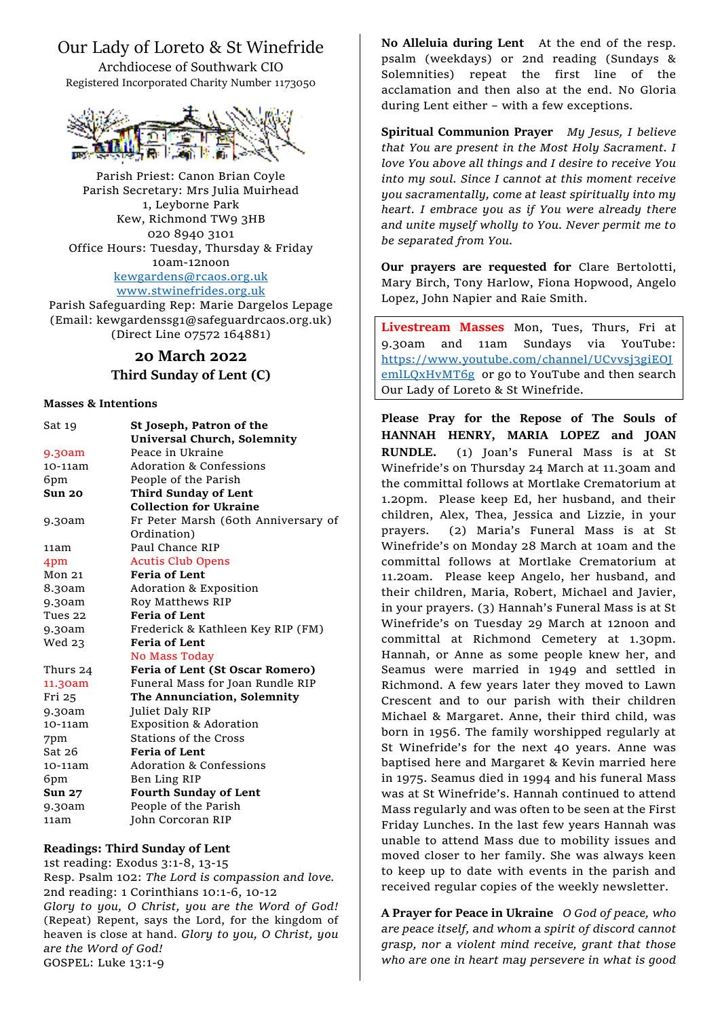# Our Lady of Loreto & St Winefride

Archdiocese of Southwark CIO Registered Incorporated Charity Number 1173050



Parish Priest: Canon Brian Coyle Parish Secretary: Mrs Julia Muirhead 1, Leyborne Park Kew, Richmond TW9 3HB 020 8940 3101 Office Hours: Tuesday, Thursday & Friday 10am-12noon [kewgardens@rcaos.org.uk](mailto:kewgardens@rcaos.org.uk) [www.stwinefrides.org.uk](http://www.stwinefrides.org.uk/)

Parish Safeguarding Rep: Marie Dargelos Lepage (Email: kewgardenssg1@safeguardrcaos.org.uk) (Direct Line 07572 164881)

## **20 March 2022 Third Sunday of Lent (C)**

### **Masses & Intentions**

| Sat 19            | St Joseph, Patron of the            |
|-------------------|-------------------------------------|
|                   | <b>Universal Church, Solemnity</b>  |
| 9.30am            | Peace in Ukraine                    |
| 10-11am           | Adoration & Confessions             |
| 6pm               | People of the Parish                |
| Sun 20            | <b>Third Sunday of Lent</b>         |
|                   | <b>Collection for Ukraine</b>       |
| 9.30am            | Fr Peter Marsh (60th Anniversary of |
|                   | Ordination)                         |
| 11am              | Paul Chance RIP                     |
| 4pm               | <b>Acutis Club Opens</b>            |
| Mon <sub>21</sub> | <b>Feria of Lent</b>                |
| 8.30am            | <b>Adoration &amp; Exposition</b>   |
| 9.30am            | Roy Matthews RIP                    |
| Tues 22           | <b>Feria of Lent</b>                |
| 9.30am            | Frederick & Kathleen Key RIP (FM)   |
| Wed 23            | <b>Feria of Lent</b>                |
|                   | No Mass Today                       |
| Thurs 24          | Feria of Lent (St Oscar Romero)     |
| 11.30am           | Funeral Mass for Joan Rundle RIP    |
| Fri 25            | The Annunciation, Solemnity         |
| 9.30am            | Juliet Daly RIP                     |
| 10-11am           | <b>Exposition &amp; Adoration</b>   |
| 7pm               | <b>Stations of the Cross</b>        |
| Sat26             | <b>Feria of Lent</b>                |
| 10-11am           | <b>Adoration &amp; Confessions</b>  |
| 6pm               | Ben Ling RIP                        |
| <b>Sun 27</b>     | <b>Fourth Sunday of Lent</b>        |
| 9.30am            | People of the Parish                |
| 11am              | John Corcoran RIP                   |

### **Readings: Third Sunday of Lent**

1st reading: Exodus 3:1-8, 13-15 Resp. Psalm 102: *The Lord is compassion and love.* 2nd reading: 1 Corinthians 10:1-6, 10-12 *Glory to you, O Christ, you are the Word of God!*  (Repeat) Repent, says the Lord, for the kingdom of heaven is close at hand. *Glory to you, O Christ, you are the Word of God!* GOSPEL: Luke 13:1-9

**No Alleluia during Lent** At the end of the resp. psalm (weekdays) or 2nd reading (Sundays & Solemnities) repeat the first line of the acclamation and then also at the end. No Gloria during Lent either – with a few exceptions.

**Spiritual Communion Prayer** *My Jesus, I believe that You are present in the Most Holy Sacrament. I love You above all things and I desire to receive You into my soul. Since I cannot at this moment receive you sacramentally, come at least spiritually into my heart. I embrace you as if You were already there and unite myself wholly to You. Never permit me to be separated from You.*

**Our prayers are requested for** Clare Bertolotti, Mary Birch, Tony Harlow, Fiona Hopwood, Angelo Lopez, John Napier and Raie Smith.

**Livestream Masses** Mon, Tues, Thurs, Fri at 9.30am and 11am Sundays via YouTube: [https://www.youtube.com/channel/UCvvsj3giEOJ](https://www.youtube.com/channel/UCvvsj3giEOJemlLQxHvMT6g) [emlLQxHvMT6g](https://www.youtube.com/channel/UCvvsj3giEOJemlLQxHvMT6g) or go to YouTube and then search Our Lady of Loreto & St Winefride.

**Please Pray for the Repose of The Souls of HANNAH HENRY, MARIA LOPEZ and JOAN RUNDLE.** (1) Joan's Funeral Mass is at St Winefride's on Thursday 24 March at 11.30am and the committal follows at Mortlake Crematorium at 1.20pm. Please keep Ed, her husband, and their children, Alex, Thea, Jessica and Lizzie, in your prayers. (2) Maria's Funeral Mass is at St Winefride's on Monday 28 March at 10am and the committal follows at Mortlake Crematorium at 11.20am. Please keep Angelo, her husband, and their children, Maria, Robert, Michael and Javier, in your prayers. (3) Hannah's Funeral Mass is at St Winefride's on Tuesday 29 March at 12noon and committal at Richmond Cemetery at 1.30pm. Hannah, or Anne as some people knew her, and Seamus were married in 1949 and settled in Richmond. A few years later they moved to Lawn Crescent and to our parish with their children Michael & Margaret. Anne, their third child, was born in 1956. The family worshipped regularly at St Winefride's for the next 40 years. Anne was baptised here and Margaret & Kevin married here in 1975. Seamus died in 1994 and his funeral Mass was at St Winefride's. Hannah continued to attend Mass regularly and was often to be seen at the First Friday Lunches. In the last few years Hannah was unable to attend Mass due to mobility issues and moved closer to her family. She was always keen to keep up to date with events in the parish and received regular copies of the weekly newsletter.

**A Prayer for Peace in Ukraine** *O God of peace, who are peace itself, and whom a spirit of discord cannot grasp, nor a violent mind receive, grant that those who are one in heart may persevere in what is good*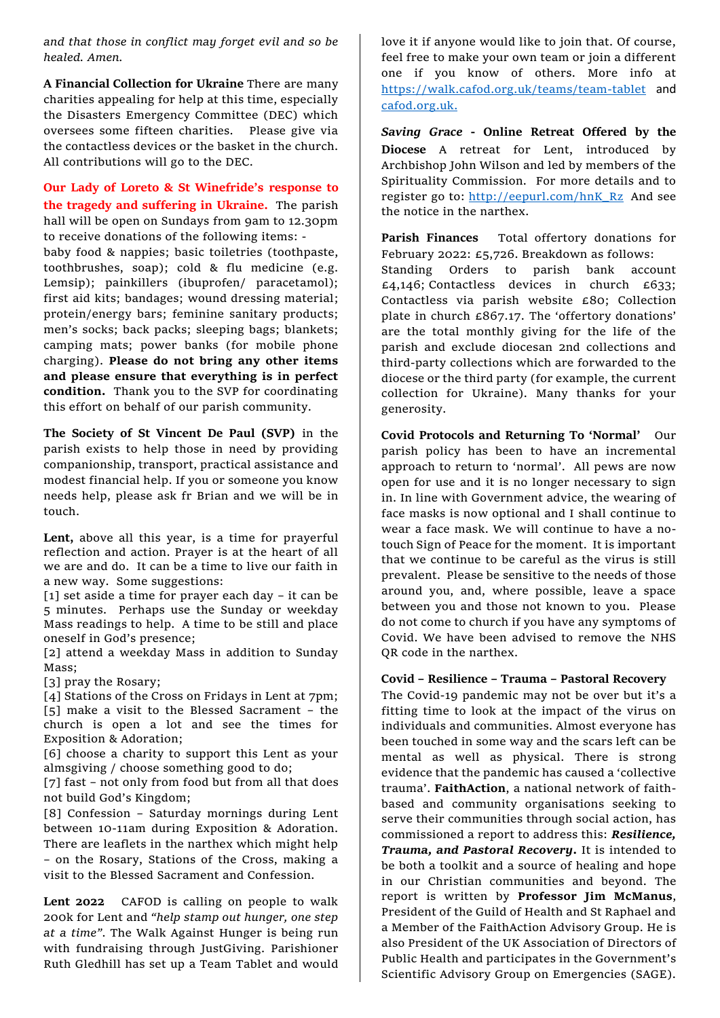*and that those in conflict may forget evil and so be healed. Amen.* 

**A Financial Collection for Ukraine** There are many charities appealing for help at this time, especially the Disasters Emergency Committee (DEC) which oversees some fifteen charities. Please give via the contactless devices or the basket in the church. All contributions will go to the DEC.

### **Our Lady of Loreto & St Winefride's response to the tragedy and suffering in Ukraine.** The parish

hall will be open on Sundays from 9am to 12.30pm to receive donations of the following items: -

baby food & nappies; basic toiletries (toothpaste, toothbrushes, soap); cold & flu medicine (e.g. Lemsip); painkillers (ibuprofen/ paracetamol); first aid kits; bandages; wound dressing material; protein/energy bars; feminine sanitary products; men's socks; back packs; sleeping bags; blankets; camping mats; power banks (for mobile phone charging). **Please do not bring any other items and please ensure that everything is in perfect condition.** Thank you to the SVP for coordinating this effort on behalf of our parish community.

**The Society of St Vincent De Paul (SVP)** in the parish exists to help those in need by providing companionship, transport, practical assistance and modest financial help. If you or someone you know needs help, please ask fr Brian and we will be in touch.

**Lent,** above all this year, is a time for prayerful reflection and action. Prayer is at the heart of all we are and do. It can be a time to live our faith in a new way. Some suggestions:

[1] set aside a time for prayer each day – it can be 5 minutes. Perhaps use the Sunday or weekday Mass readings to help. A time to be still and place oneself in God's presence;

[2] attend a weekday Mass in addition to Sunday Mass;

[3] pray the Rosary;

[4] Stations of the Cross on Fridays in Lent at 7pm; [5] make a visit to the Blessed Sacrament – the church is open a lot and see the times for Exposition & Adoration;

[6] choose a charity to support this Lent as your almsgiving / choose something good to do;

[7] fast – not only from food but from all that does not build God's Kingdom;

[8] Confession – Saturday mornings during Lent between 10-11am during Exposition & Adoration. There are leaflets in the narthex which might help – on the Rosary, Stations of the Cross, making a visit to the Blessed Sacrament and Confession.

**Lent 2022** CAFOD is calling on people to walk 200k for Lent and *"help stamp out hunger, one step at a time".* The Walk Against Hunger is being run with fundraising through JustGiving. Parishioner Ruth Gledhill has set up a Team Tablet and would

love it if anyone would like to join that. Of course, feel free to make your own team or join a different one if you know of others. More info at <https://walk.cafod.org.uk/teams/team-tablet> and [cafod.org.uk.](http://cafod.org.uk/)

*Saving Grace* **- Online Retreat Offered by the Diocese** A retreat for Lent, introduced by Archbishop John Wilson and led by members of the Spirituality Commission. For more details and to register go to: [http://eepurl.com/hnK\\_Rz](http://eepurl.com/hnK_Rz) And see the notice in the narthex.

**Parish Finances** Total offertory donations for February 2022: £5,726. Breakdown as follows: Standing Orders to parish bank account  $£4,146$ ; Contactless devices in church £633; Contactless via parish website £80; Collection plate in church £867.17. The 'offertory donations' are the total monthly giving for the life of the parish and exclude diocesan 2nd collections and third-party collections which are forwarded to the diocese or the third party (for example, the current collection for Ukraine). Many thanks for your generosity.

**Covid Protocols and Returning To 'Normal'** Our parish policy has been to have an incremental approach to return to 'normal'. All pews are now open for use and it is no longer necessary to sign in. In line with Government advice, the wearing of face masks is now optional and I shall continue to wear a face mask. We will continue to have a notouch Sign of Peace for the moment. It is important that we continue to be careful as the virus is still prevalent. Please be sensitive to the needs of those around you, and, where possible, leave a space between you and those not known to you. Please do not come to church if you have any symptoms of Covid. We have been advised to remove the NHS QR code in the narthex.

### **Covid – Resilience – Trauma – Pastoral Recovery**

The Covid-19 pandemic may not be over but it's a fitting time to look at the impact of the virus on individuals and communities. Almost everyone has been touched in some way and the scars left can be mental as well as physical. There is strong evidence that the pandemic has caused a 'collective trauma'. **FaithAction**, a national network of faithbased and community organisations seeking to serve their communities through social action, has commissioned a report to address this: *Resilience, Trauma, and Pastoral Recovery***.** It is intended to be both a toolkit and a source of healing and hope in our Christian communities and beyond. The report is written by **Professor Jim McManus**, President of the Guild of Health and St Raphael and a Member of the FaithAction Advisory Group. He is also President of the UK Association of Directors of Public Health and participates in the Government's Scientific Advisory Group on Emergencies (SAGE).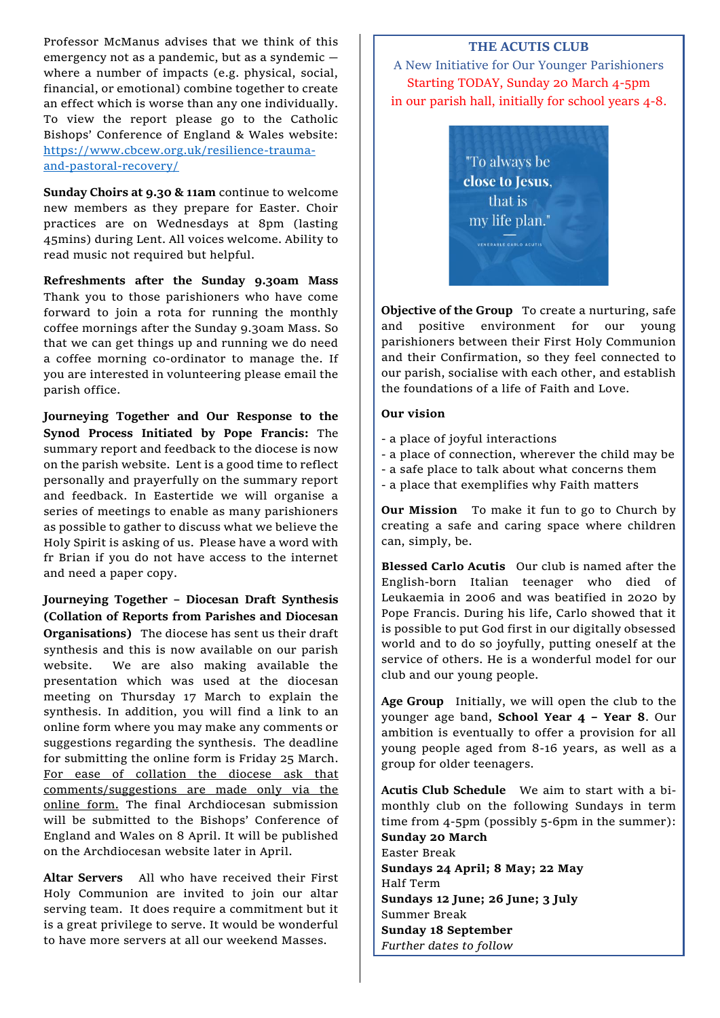Professor McManus advises that we think of this emergency not as a pandemic, but as a syndemic where a number of impacts (e.g. physical, social, financial, or emotional) combine together to create an effect which is worse than any one individually. To view the report please go to the Catholic Bishops' Conference of England & Wales website: [https://www.cbcew.org.uk/resilience-trauma](https://www.cbcew.org.uk/resilience-trauma-and-pastoral-recovery/)[and-pastoral-recovery/](https://www.cbcew.org.uk/resilience-trauma-and-pastoral-recovery/)

**Sunday Choirs at 9.30 & 11am** continue to welcome new members as they prepare for Easter. Choir practices are on Wednesdays at 8pm (lasting 45mins) during Lent. All voices welcome. Ability to read music not required but helpful.

**Refreshments after the Sunday 9.30am Mass**  Thank you to those parishioners who have come forward to join a rota for running the monthly coffee mornings after the Sunday 9.30am Mass. So that we can get things up and running we do need a coffee morning co-ordinator to manage the. If you are interested in volunteering please email the parish office.

**Journeying Together and Our Response to the Synod Process Initiated by Pope Francis:** The summary report and feedback to the diocese is now on the parish website. Lent is a good time to reflect personally and prayerfully on the summary report and feedback. In Eastertide we will organise a series of meetings to enable as many parishioners as possible to gather to discuss what we believe the Holy Spirit is asking of us.Please have a word with fr Brian if you do not have access to the internet and need a paper copy.

**Journeying Together – Diocesan Draft Synthesis (Collation of Reports from Parishes and Diocesan Organisations)** The diocese has sent us their draft synthesis and this is now available on our parish website. We are also making available the presentation which was used at the diocesan meeting on Thursday 17 March to explain the synthesis. In addition, you will find a link to an online form where you may make any comments or suggestions regarding the synthesis. The deadline for submitting the online form is Friday 25 March. For ease of collation the diocese ask that comments/suggestions are made only via the online form. The final Archdiocesan submission will be submitted to the Bishops' Conference of England and Wales on 8 April. It will be published on the Archdiocesan website later in April.

**Altar Servers** All who have received their First Holy Communion are invited to join our altar serving team. It does require a commitment but it is a great privilege to serve. It would be wonderful to have more servers at all our weekend Masses.

### **THE ACUTIS CLUB**

A New Initiative for Our Younger Parishioners Starting TODAY, Sunday 20 March 4-5pm in our parish hall, initially for school years 4-8.



**Objective of the Group** To create a nurturing, safe and positive environment for our young parishioners between their First Holy Communion and their Confirmation, so they feel connected to our parish, socialise with each other, and establish the foundations of a life of Faith and Love.

#### **Our vision**

- a place of joyful interactions
- a place of connection, wherever the child may be
- a safe place to talk about what concerns them
- a place that exemplifies why Faith matters

**Our Mission** To make it fun to go to Church by creating a safe and caring space where children can, simply, be.

**Blessed Carlo Acutis** Our club is named after the English-born Italian teenager who died of Leukaemia in 2006 and was beatified in 2020 by Pope Francis. During his life, Carlo showed that it is possible to put God first in our digitally obsessed world and to do so joyfully, putting oneself at the service of others. He is a wonderful model for our club and our young people.

**Age Group** Initially, we will open the club to the younger age band, **School Year 4 – Year 8**. Our ambition is eventually to offer a provision for all young people aged from 8-16 years, as well as a group for older teenagers.

**Acutis Club Schedule** We aim to start with a bimonthly club on the following Sundays in term time from 4-5pm (possibly 5-6pm in the summer): **Sunday 20 March**  Easter Break **Sundays 24 April; 8 May; 22 May**  Half Term **Sundays 12 June; 26 June; 3 July**  Summer Break **Sunday 18 September** *Further dates to follow*